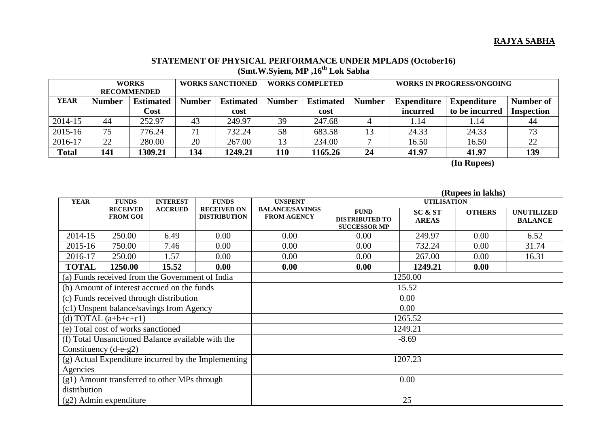## **RAJYA SABHA**

## **STATEMENT OF PHYSICAL PERFORMANCE UNDER MPLADS (October16) (Smt.W.Syiem, MP ,16 th Lok Sabha**

| <b>WORKS</b>       |                  | <b>WORKS SANCTIONED</b> |                  | <b>WORKS COMPLETED</b> |                  | WORKS IN PROGRESS/ONGOING |                    |                    |                   |
|--------------------|------------------|-------------------------|------------------|------------------------|------------------|---------------------------|--------------------|--------------------|-------------------|
| <b>RECOMMENDED</b> |                  |                         |                  |                        |                  |                           |                    |                    |                   |
| <b>Number</b>      | <b>Estimated</b> | <b>Number</b>           | <b>Estimated</b> | <b>Number</b>          | <b>Estimated</b> | <b>Number</b>             | <b>Expenditure</b> | <b>Expenditure</b> | Number of         |
|                    | Cost             |                         | cost             |                        | cost             |                           | incurred           | to be incurred     | <b>Inspection</b> |
| 44                 | 252.97           | 43                      | 249.97           | 39                     | 247.68           |                           | 1.14               | 1.14               | 44                |
| 75                 | 776.24           | 71                      | 732.24           | 58                     | 683.58           |                           | 24.33              | 24.33              |                   |
| 22                 | 280.00           | 20                      | 267.00           | 13                     | 234.00           |                           | 16.50              | 16.50              | 22                |
| 141                | 1309.21          | 134                     | 1249.21          | 110                    | 1165.26          | 24                        | 41.97              | 41.97              | 139               |
|                    |                  |                         |                  |                        |                  |                           |                    |                    |                   |

 **(In Rupees)** 

|                                                     |                                                 |                |                                           |                                              |                                                             |                         | (Rupees in lakhs) |                                     |  |
|-----------------------------------------------------|-------------------------------------------------|----------------|-------------------------------------------|----------------------------------------------|-------------------------------------------------------------|-------------------------|-------------------|-------------------------------------|--|
| <b>YEAR</b>                                         | <b>FUNDS</b><br><b>INTEREST</b><br><b>FUNDS</b> |                | <b>UNSPENT</b>                            | <b>UTILISATION</b>                           |                                                             |                         |                   |                                     |  |
|                                                     | <b>RECEIVED</b><br><b>FROM GOI</b>              | <b>ACCRUED</b> | <b>RECEIVED ON</b><br><b>DISTRIBUTION</b> | <b>BALANCE/SAVINGS</b><br><b>FROM AGENCY</b> | <b>FUND</b><br><b>DISTRIBUTED TO</b><br><b>SUCCESSOR MP</b> | SC & ST<br><b>AREAS</b> | <b>OTHERS</b>     | <b>UNUTILIZED</b><br><b>BALANCE</b> |  |
| 2014-15                                             | 250.00                                          | 6.49           | 0.00                                      | 0.00                                         | 0.00                                                        | 249.97                  | 0.00              | 6.52                                |  |
| 2015-16                                             | 750.00                                          | 7.46           | 0.00                                      | 0.00                                         | 0.00                                                        | 732.24                  | 0.00              | 31.74                               |  |
| 2016-17                                             | 250.00                                          | 1.57           | 0.00                                      | 0.00                                         | 0.00                                                        | 267.00                  | 0.00              | 16.31                               |  |
| <b>TOTAL</b>                                        | 1250.00                                         | 15.52          | 0.00                                      | 0.00                                         | 0.00                                                        | 1249.21                 | 0.00              |                                     |  |
| (a) Funds received from the Government of India     |                                                 |                |                                           | 1250.00                                      |                                                             |                         |                   |                                     |  |
| (b) Amount of interest accrued on the funds         |                                                 |                |                                           | 15.52                                        |                                                             |                         |                   |                                     |  |
| (c) Funds received through distribution             |                                                 |                |                                           | 0.00                                         |                                                             |                         |                   |                                     |  |
| (c1) Unspent balance/savings from Agency            |                                                 |                |                                           | 0.00                                         |                                                             |                         |                   |                                     |  |
| (d) TOTAL $(a+b+c+c1)$                              |                                                 |                |                                           | 1265.52                                      |                                                             |                         |                   |                                     |  |
| (e) Total cost of works sanctioned                  |                                                 |                |                                           | 1249.21                                      |                                                             |                         |                   |                                     |  |
| (f) Total Unsanctioned Balance available with the   |                                                 |                |                                           | $-8.69$                                      |                                                             |                         |                   |                                     |  |
| Constituency $(d-e-g2)$                             |                                                 |                |                                           |                                              |                                                             |                         |                   |                                     |  |
| (g) Actual Expenditure incurred by the Implementing |                                                 |                |                                           | 1207.23                                      |                                                             |                         |                   |                                     |  |
| Agencies                                            |                                                 |                |                                           |                                              |                                                             |                         |                   |                                     |  |
| (g1) Amount transferred to other MPs through        |                                                 |                |                                           | 0.00                                         |                                                             |                         |                   |                                     |  |
| distribution                                        |                                                 |                |                                           |                                              |                                                             |                         |                   |                                     |  |
| $(g2)$ Admin expenditure                            |                                                 |                |                                           | 25                                           |                                                             |                         |                   |                                     |  |